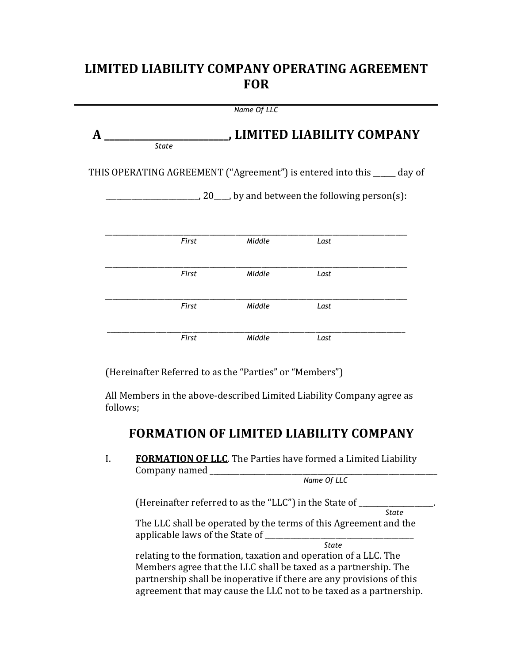# LIMITED LIABILITY COMPANY OPERATING AGREEMENT **FOR**

|   |              | Name Of LLC |                                                                          |
|---|--------------|-------------|--------------------------------------------------------------------------|
| A | <b>State</b> |             | , LIMITED LIABILITY COMPANY                                              |
|   |              |             | THIS OPERATING AGREEMENT ("Agreement") is entered into this _____ day of |
|   |              |             | $\sim$ , 20 $\sim$ , by and between the following person(s):             |
|   |              |             |                                                                          |
|   | First        | Middle      | Last                                                                     |
|   | First        | Middle      | Last                                                                     |
|   |              |             |                                                                          |
|   | First        | Middle      | Last                                                                     |
|   | First        | Middle      | Last                                                                     |

(Hereinafter Referred to as the "Parties" or "Members")

All Members in the above-described Limited Liability Company agree as follows;

# **FORMATION'OF'LIMITED'LIABILITY'COMPANY**

I. **FORMATION OF LLC**. The Parties have formed a Limited Liability Company named

 *Name Of LLC*

(Hereinafter referred to as the "LLC") in the State of  $\frac{1}{\text{State}}$ 

*State* The LLC shall be operated by the terms of this Agreement and the applicable!laws!of!the!State!of!\_\_\_\_\_\_\_\_\_\_\_\_\_\_\_\_\_\_\_\_\_\_\_\_\_\_\_\_\_\_\_\_\_\_\_\_\_\_\_\_!

*State* 

relating to the formation, taxation and operation of a LLC. The Members agree that the LLC shall be taxed as a partnership. The partnership shall be inoperative if there are any provisions of this agreement that may cause the LLC not to be taxed as a partnership.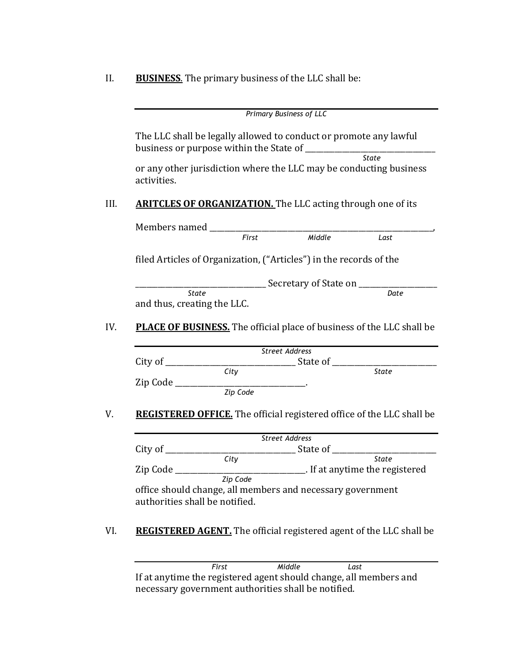II. **BUSINESS**. The primary business of the LLC shall be:

|                                             |                                                                              | <b>Primary Business of LLC</b>                         |      |
|---------------------------------------------|------------------------------------------------------------------------------|--------------------------------------------------------|------|
|                                             | The LLC shall be legally allowed to conduct or promote any lawful            |                                                        |      |
| activities.                                 | or any other jurisdiction where the LLC may be conducting business           |                                                        |      |
|                                             | <b>ARITCLES OF ORGANIZATION.</b> The LLC acting through one of its           |                                                        |      |
|                                             |                                                                              |                                                        |      |
|                                             |                                                                              |                                                        | Last |
|                                             | filed Articles of Organization, ("Articles") in the records of the           |                                                        |      |
|                                             |                                                                              | ___________________ Secretary of State on ____________ |      |
| <b>State</b><br>and thus, creating the LLC. |                                                                              |                                                        | Date |
|                                             | <b>PLACE OF BUSINESS.</b> The official place of business of the LLC shall be |                                                        |      |
|                                             |                                                                              | <b>Street Address</b>                                  |      |
|                                             |                                                                              |                                                        |      |
|                                             |                                                                              |                                                        |      |
|                                             | $\text{Zip Code } \underline{\hspace{2cm}} \text{Zip Code}$                  |                                                        |      |
|                                             | <b>REGISTERED OFFICE.</b> The official registered office of the LLC shall be |                                                        |      |
|                                             |                                                                              | <b>Street Address</b>                                  |      |
| City of                                     |                                                                              | State of                                               |      |

 *City State* Zip Code \_\_\_\_\_\_\_\_\_\_\_\_\_\_\_\_\_\_\_\_\_\_\_\_\_\_\_\_\_\_\_\_\_. If at anytime the registered  *Zip Code* office should change, all members and necessary government authorities shall be notified.

VI. REGISTERED AGENT. The official registered agent of the LLC shall be

 *First Middle Last* If at anytime the registered agent should change, all members and necessary government authorities shall be notified.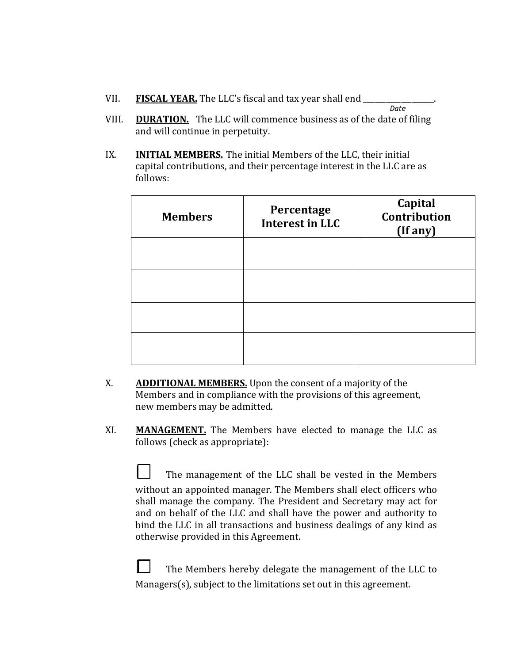| VII. | <b>FISCAL YEAR.</b> The LLC's fiscal and tax year shall end |      |
|------|-------------------------------------------------------------|------|
|      |                                                             | Date |

- VIII. **DURATION.** The LLC will commence business as of the date of filing and will continue in perpetuity.
- IX. **INITIAL MEMBERS.** The initial Members of the LLC, their initial capital contributions, and their percentage interest in the LLC are as follows:

| <b>Members</b> | Percentage<br><b>Interest in LLC</b> | Capital<br>Contribution<br>(If any) |
|----------------|--------------------------------------|-------------------------------------|
|                |                                      |                                     |
|                |                                      |                                     |
|                |                                      |                                     |
|                |                                      |                                     |

- X. **ADDITIONAL MEMBERS.** Upon the consent of a majority of the Members and in compliance with the provisions of this agreement, new members may be admitted.
- XI. **MANAGEMENT.** The Members have elected to manage the LLC as follows (check as appropriate):

The management of the LLC shall be vested in the Members without an appointed manager. The Members shall elect officers who shall manage the company. The President and Secretary may act for and on behalf of the LLC and shall have the power and authority to bind the LLC in all transactions and business dealings of any kind as otherwise provided in this Agreement.

 $\Box$  The Members hereby delegate the management of the LLC to  $Managers(s)$ , subject to the limitations set out in this agreement.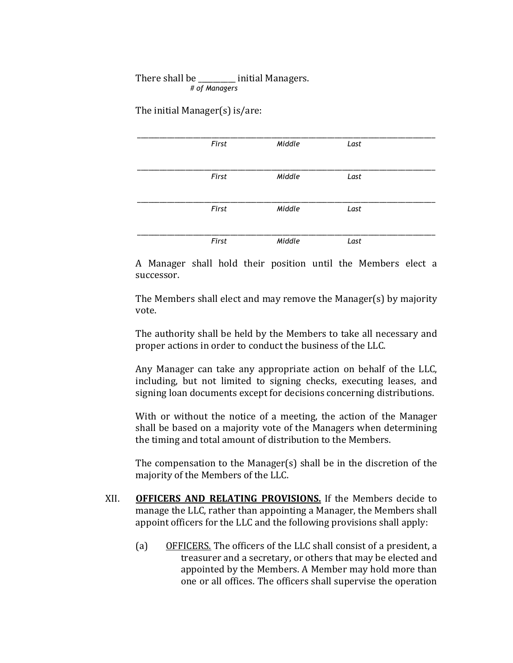## There shall be \_\_\_\_\_\_\_\_\_ initial Managers.  *# of Managers*

The initial Manager $(s)$  is/are:

| First | Middle | Last |  |
|-------|--------|------|--|
|       |        |      |  |
|       |        |      |  |
|       |        |      |  |
| First | Middle | Last |  |
|       |        |      |  |
|       |        |      |  |
| First | Middle | Last |  |
|       |        |      |  |
|       |        |      |  |
|       |        |      |  |
| First | Middle | Last |  |

A Manager shall hold their position until the Members elect a successor.

The Members shall elect and may remove the Manager(s) by majority vote.

The authority shall be held by the Members to take all necessary and proper actions in order to conduct the business of the LLC.

Any Manager can take any appropriate action on behalf of the LLC, including, but not limited to signing checks, executing leases, and signing loan documents except for decisions concerning distributions.

With or without the notice of a meeting, the action of the Manager shall be based on a majority vote of the Managers when determining the timing and total amount of distribution to the Members.

The compensation to the Manager(s) shall be in the discretion of the majority of the Members of the LLC.

- XII. **OFFICERS AND RELATING PROVISIONS.** If the Members decide to manage the LLC, rather than appointing a Manager, the Members shall appoint officers for the LLC and the following provisions shall apply:
	- (a) OFFICERS. The officers of the LLC shall consist of a president, a treasurer and a secretary, or others that may be elected and appointed by the Members. A Member may hold more than one or all offices. The officers shall supervise the operation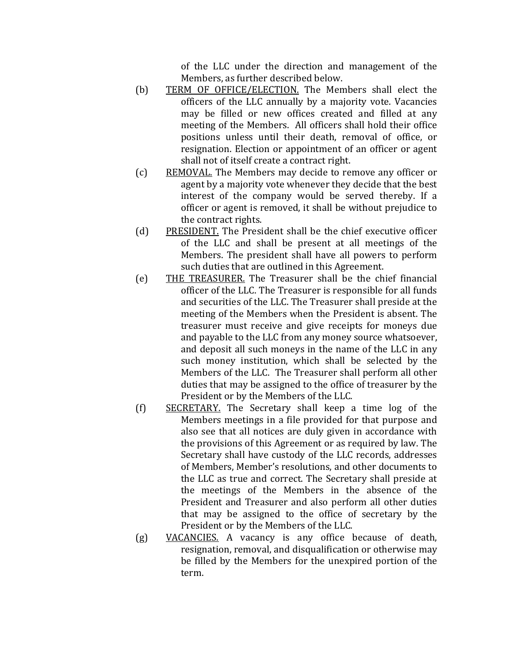of the LLC under the direction and management of the Members, as further described below.

- (b) TERM OF OFFICE/ELECTION. The Members shall elect the officers of the LLC annually by a majority vote. Vacancies may be filled or new offices created and filled at any meeting of the Members. All officers shall hold their office positions unless until their death, removal of office, or resignation. Election or appointment of an officer or agent shall not of itself create a contract right.
- (c) REMOVAL. The Members may decide to remove any officer or agent by a majority vote whenever they decide that the best interest of the company would be served thereby. If a officer or agent is removed, it shall be without prejudice to the contract rights.
- (d) PRESIDENT. The President shall be the chief executive officer of the LLC and shall be present at all meetings of the Members. The president shall have all powers to perform such duties that are outlined in this Agreement.
- (e) THE TREASURER. The Treasurer shall be the chief financial officer of the LLC. The Treasurer is responsible for all funds and securities of the LLC. The Treasurer shall preside at the meeting of the Members when the President is absent. The treasurer must receive and give receipts for moneys due and payable to the LLC from any money source whatsoever, and deposit all such moneys in the name of the LLC in any such money institution, which shall be selected by the Members of the LLC. The Treasurer shall perform all other duties that may be assigned to the office of treasurer by the President or by the Members of the LLC.
- $(f)$  SECRETARY. The Secretary shall keep a time log of the Members meetings in a file provided for that purpose and also see that all notices are duly given in accordance with the provisions of this Agreement or as required by law. The Secretary shall have custody of the LLC records, addresses of Members, Member's resolutions, and other documents to the LLC as true and correct. The Secretary shall preside at the meetings of the Members in the absence of the President and Treasurer and also perform all other duties that may be assigned to the office of secretary by the President or by the Members of the LLC.
- $(g)$  VACANCIES. A vacancy is any office because of death, resignation, removal, and disqualification or otherwise may be filled by the Members for the unexpired portion of the term.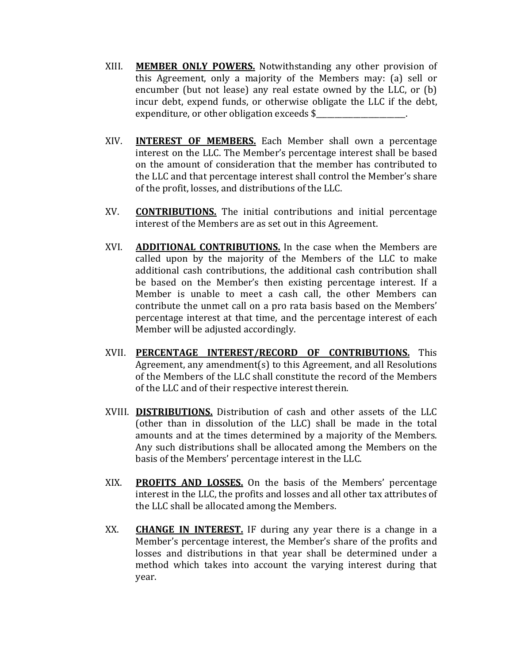- XIII. **MEMBER ONLY POWERS.** Notwithstanding any other provision of this Agreement, only a majority of the Members may: (a) sell or encumber (but not lease) any real estate owned by the LLC, or (b) incur debt, expend funds, or otherwise obligate the LLC if the debt, expenditure, or other obligation exceeds \$
- XIV. **INTEREST OF MEMBERS.** Each Member shall own a percentage interest on the LLC. The Member's percentage interest shall be based on the amount of consideration that the member has contributed to the LLC and that percentage interest shall control the Member's share of the profit, losses, and distributions of the LLC.
- XV. **CONTRIBUTIONS.** The initial contributions and initial percentage interest of the Members are as set out in this Agreement.
- XVI. **ADDITIONAL CONTRIBUTIONS.** In the case when the Members are called upon by the majority of the Members of the LLC to make additional cash contributions, the additional cash contribution shall be based on the Member's then existing percentage interest. If a Member is unable to meet a cash call, the other Members can contribute the unmet call on a pro rata basis based on the Members' percentage interest at that time, and the percentage interest of each Member will be adjusted accordingly.
- XVII. PERCENTAGE INTEREST/RECORD OF CONTRIBUTIONS. This Agreement, any amendment(s) to this Agreement, and all Resolutions of the Members of the LLC shall constitute the record of the Members of the LLC and of their respective interest therein.
- XVIII. **DISTRIBUTIONS.** Distribution of cash and other assets of the LLC (other than in dissolution of the LLC) shall be made in the total amounts and at the times determined by a majority of the Members. Any such distributions shall be allocated among the Members on the basis of the Members' percentage interest in the LLC.
- XIX. **PROFITS AND LOSSES.** On the basis of the Members' percentage interest in the LLC, the profits and losses and all other tax attributes of the LLC shall be allocated among the Members.
- XX. **CHANGE IN INTEREST.** IF during any year there is a change in a Member's percentage interest, the Member's share of the profits and losses and distributions in that year shall be determined under a method which takes into account the varying interest during that year.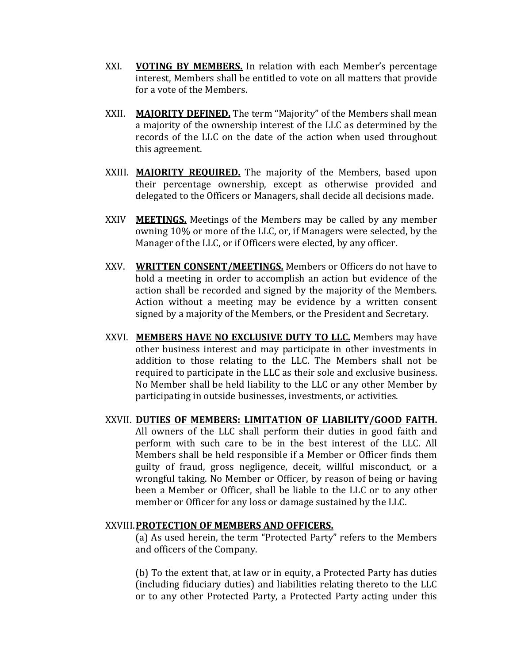- XXI. **VOTING BY MEMBERS.** In relation with each Member's percentage interest, Members shall be entitled to vote on all matters that provide for a vote of the Members.
- XXII. **MAJORITY DEFINED.** The term "Majority" of the Members shall mean a majority of the ownership interest of the LLC as determined by the records of the LLC on the date of the action when used throughout this agreement.
- XXIII. **MAJORITY REQUIRED.** The majority of the Members, based upon their percentage ownership, except as otherwise provided and delegated to the Officers or Managers, shall decide all decisions made.
- XXIV **MEETINGS.** Meetings of the Members may be called by any member owning 10% or more of the LLC, or, if Managers were selected, by the Manager of the LLC, or if Officers were elected, by any officer.
- XXV. **WRITTEN CONSENT/MEETINGS.** Members or Officers do not have to hold a meeting in order to accomplish an action but evidence of the action shall be recorded and signed by the majority of the Members. Action without a meeting may be evidence by a written consent signed by a majority of the Members, or the President and Secretary.
- XXVI. **MEMBERS HAVE NO EXCLUSIVE DUTY TO LLC.** Members may have other business interest and may participate in other investments in addition to those relating to the LLC. The Members shall not be required to participate in the LLC as their sole and exclusive business. No Member shall be held liability to the LLC or any other Member by participating in outside businesses, investments, or activities.
- XXVII. DUTIES OF MEMBERS: LIMITATION OF LIABILITY/GOOD FAITH. All owners of the LLC shall perform their duties in good faith and perform with such care to be in the best interest of the LLC. All Members shall be held responsible if a Member or Officer finds them guilty of fraud, gross negligence, deceit, willful misconduct, or a wrongful taking. No Member or Officer, by reason of being or having been a Member or Officer, shall be liable to the LLC or to any other member or Officer for any loss or damage sustained by the LLC.

### XXVIII.**PROTECTION'OF'MEMBERS'AND'OFFICERS.**

(a) As used herein, the term "Protected Party" refers to the Members and officers of the Company.

(b) To the extent that, at law or in equity, a Protected Party has duties (including fiduciary duties) and liabilities relating thereto to the LLC or to any other Protected Party, a Protected Party acting under this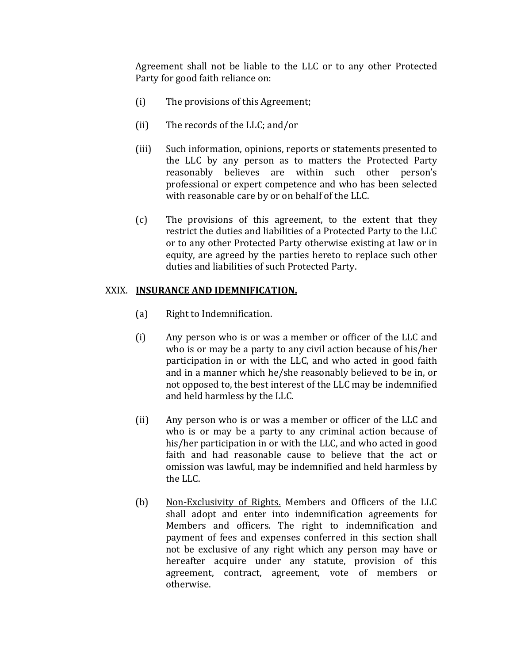Agreement shall not be liable to the LLC or to any other Protected Party for good faith reliance on:

- (i) The provisions of this Agreement;
- (ii) The records of the LLC; and/or
- (iii) Such information, opinions, reports or statements presented to the LLC by any person as to matters the Protected Party reasonably believes are within such other person's professional or expert competence and who has been selected with reasonable care by or on behalf of the LLC.
- $(c)$  The provisions of this agreement, to the extent that they restrict the duties and liabilities of a Protected Party to the LLC or to any other Protected Party otherwise existing at law or in equity, are agreed by the parties hereto to replace such other duties and liabilities of such Protected Party.

## XXIX. **INSURANCE AND IDEMNIFICATION.**

- (a) Right to Indemnification.
- $(i)$  Any person who is or was a member or officer of the LLC and who is or may be a party to any civil action because of his/her participation in or with the LLC, and who acted in good faith and in a manner which he/she reasonably believed to be in, or not opposed to, the best interest of the LLC may be indemnified and held harmless by the LLC.
- (ii) Any person who is or was a member or officer of the LLC and who is or may be a party to any criminal action because of his/her participation in or with the LLC, and who acted in good faith and had reasonable cause to believe that the act or omission was lawful, may be indemnified and held harmless by the LLC.
- (b) Non-Exclusivity of Rights. Members and Officers of the LLC shall adopt and enter into indemnification agreements for Members and officers. The right to indemnification and payment of fees and expenses conferred in this section shall not be exclusive of any right which any person may have or hereafter acquire under any statute, provision of this agreement, contract, agreement, vote of members or otherwise.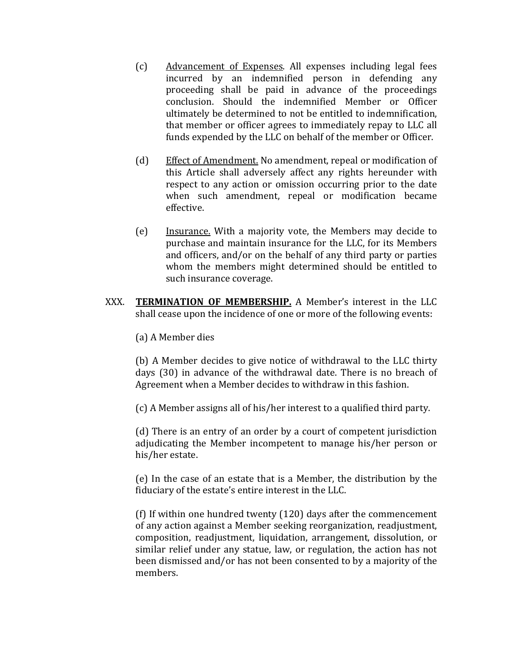- (c) Advancement of Expenses. All expenses including legal fees incurred by an indemnified person in defending any proceeding shall be paid in advance of the proceedings conclusion. Should the indemnified Member or Officer ultimately be determined to not be entitled to indemnification, that member or officer agrees to immediately repay to LLC all funds expended by the LLC on behalf of the member or Officer.
- (d) Effect of Amendment. No amendment, repeal or modification of this Article shall adversely affect any rights hereunder with respect to any action or omission occurring prior to the date when such amendment, repeal or modification became effective.
- $(e)$  Insurance. With a majority vote, the Members may decide to purchase and maintain insurance for the LLC, for its Members and officers, and/or on the behalf of any third party or parties whom the members might determined should be entitled to such insurance coverage.
- XXX. **TERMINATION OF MEMBERSHIP.** A Member's interest in the LLC shall cease upon the incidence of one or more of the following events:
	- (a) A Member dies

(b) A Member decides to give notice of withdrawal to the LLC thirty days (30) in advance of the withdrawal date. There is no breach of Agreement when a Member decides to withdraw in this fashion.

(c) A Member assigns all of his/her interest to a qualified third party.

(d) There is an entry of an order by a court of competent jurisdiction adjudicating the Member incompetent to manage his/her person or his/her estate.

(e) In the case of an estate that is a Member, the distribution by the fiduciary of the estate's entire interest in the LLC.

(f) If within one hundred twenty (120) days after the commencement of any action against a Member seeking reorganization, readjustment, composition, readjustment, liquidation, arrangement, dissolution, or similar relief under any statue, law, or regulation, the action has not been dismissed and/or has not been consented to by a majority of the members.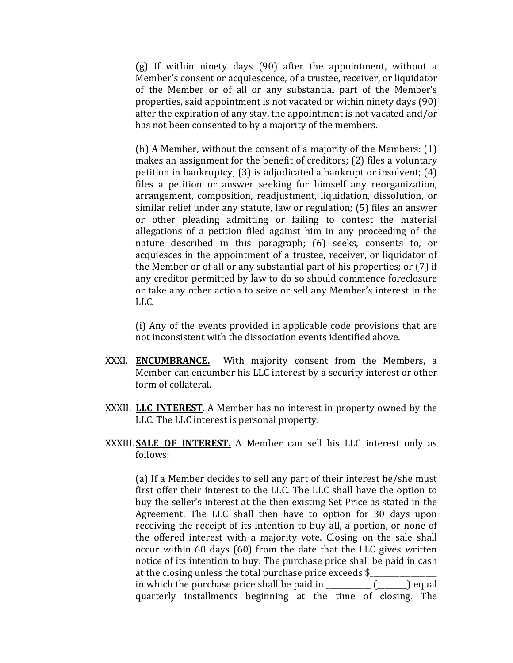(g) If within ninety days  $(90)$  after the appointment, without a Member's consent or acquiescence, of a trustee, receiver, or liquidator of the Member or of all or any substantial part of the Member's properties, said appointment is not vacated or within ninety days (90). after the expiration of any stay, the appointment is not vacated and/or has not been consented to by a majority of the members.

(h) A Member, without the consent of a majority of the Members:  $(1)$ makes an assignment for the benefit of creditors;  $(2)$  files a voluntary petition in bankruptcy; (3) is adjudicated a bankrupt or insolvent;  $(4)$ files a petition or answer seeking for himself any reorganization, arrangement, composition, readjustment, liquidation, dissolution, or similar relief under any statute, law or regulation; (5) files an answer or other pleading admitting or failing to contest the material allegations of a petition filed against him in any proceeding of the nature described in this paragraph; (6) seeks, consents to, or acquiesces in the appointment of a trustee, receiver, or liquidator of the Member or of all or any substantial part of his properties; or (7) if any creditor permitted by law to do so should commence foreclosure or take any other action to seize or sell any Member's interest in the LLC.

(i) Any of the events provided in applicable code provisions that are not inconsistent with the dissociation events identified above.

- XXXI. **ENCUMBRANCE.** With majority consent from the Members, a Member can encumber his LLC interest by a security interest or other form of collateral.
- XXXII. **LLC INTEREST**. A Member has no interest in property owned by the LLC. The LLC interest is personal property.
- XXXIII. SALE OF INTEREST. A Member can sell his LLC interest only as follows:

(a) If a Member decides to sell any part of their interest he/she must first offer their interest to the LLC. The LLC shall have the option to buy the seller's interest at the then existing Set Price as stated in the Agreement. The LLC shall then have to option for 30 days upon receiving the receipt of its intention to buy all, a portion, or none of the offered interest with a majority vote. Closing on the sale shall occur within 60 days (60) from the date that the LLC gives written notice of its intention to buy. The purchase price shall be paid in cash at the closing unless the total purchase price exceeds \$ in which the purchase price shall be paid in  $\[\_$  ( $\[\_$ ) equal quarterly installments beginning at the time of closing. The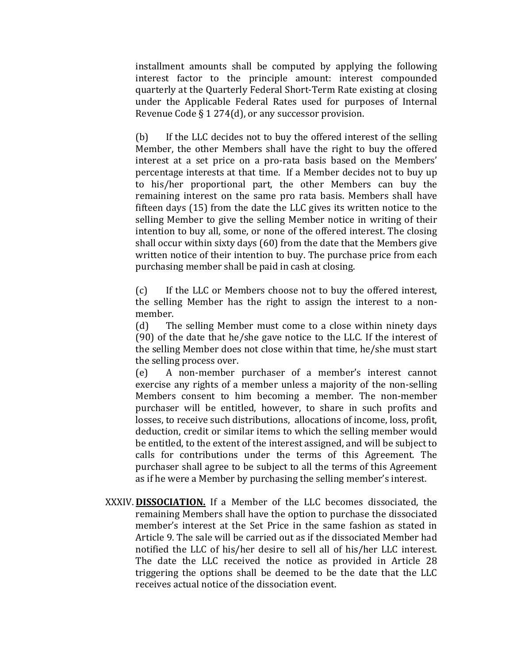installment amounts shall be computed by applying the following interest factor to the principle amount: interest compounded quarterly at the Quarterly Federal Short-Term Rate existing at closing under the Applicable Federal Rates used for purposes of Internal Revenue Code  $\S 1$  274(d), or any successor provision.

(b) If the LLC decides not to buy the offered interest of the selling Member, the other Members shall have the right to buy the offered interest at a set price on a pro-rata basis based on the Members' percentage interests at that time. If a Member decides not to buy up to his/her proportional part, the other Members can buy the remaining interest on the same pro rata basis. Members shall have fifteen days  $(15)$  from the date the LLC gives its written notice to the selling Member to give the selling Member notice in writing of their intention to buy all, some, or none of the offered interest. The closing shall occur within sixty days (60) from the date that the Members give written notice of their intention to buy. The purchase price from each purchasing member shall be paid in cash at closing.

(c) If the LLC or Members choose not to buy the offered interest, the selling Member has the right to assign the interest to a nonmember.

(d) The selling Member must come to a close within ninety days (90) of the date that he/she gave notice to the LLC. If the interest of the selling Member does not close within that time, he/she must start the selling process over.

 $(e)$  A non-member purchaser of a member's interest cannot exercise any rights of a member unless a majority of the non-selling Members consent to him becoming a member. The non-member purchaser will be entitled, however, to share in such profits and losses, to receive such distributions, allocations of income, loss, profit, deduction, credit or similar items to which the selling member would be entitled, to the extent of the interest assigned, and will be subject to calls for contributions under the terms of this Agreement. The purchaser shall agree to be subject to all the terms of this Agreement as if he were a Member by purchasing the selling member's interest.

XXXIV. **DISSOCIATION.** If a Member of the LLC becomes dissociated, the remaining Members shall have the option to purchase the dissociated member's interest at the Set Price in the same fashion as stated in Article 9. The sale will be carried out as if the dissociated Member had notified the LLC of his/her desire to sell all of his/her LLC interest. The date the LLC received the notice as provided in Article 28 triggering the options shall be deemed to be the date that the LLC receives actual notice of the dissociation event.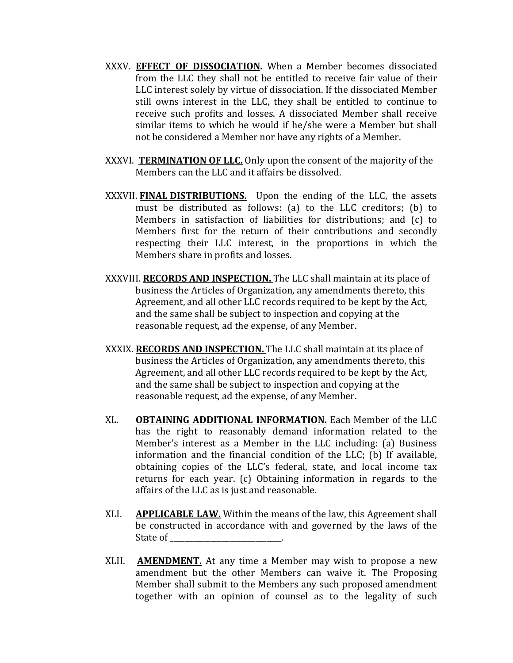- XXXV. **EFFECT OF DISSOCIATION.** When a Member becomes dissociated from the LLC they shall not be entitled to receive fair value of their LLC interest solely by virtue of dissociation. If the dissociated Member still owns interest in the LLC, they shall be entitled to continue to receive such profits and losses. A dissociated Member shall receive similar items to which he would if he/she were a Member but shall not be considered a Member nor have any rights of a Member.
- XXXVI. **TERMINATION OF LLC.** Only upon the consent of the majority of the Members can the LLC and it affairs be dissolved.
- XXXVII. **FINAL DISTRIBUTIONS.** Upon the ending of the LLC, the assets must be distributed as follows: (a) to the LLC creditors; (b) to Members in satisfaction of liabilities for distributions; and (c) to Members first for the return of their contributions and secondly respecting their LLC interest, in the proportions in which the Members share in profits and losses.
- XXXVIII. **RECORDS AND INSPECTION.** The LLC shall maintain at its place of business the Articles of Organization, any amendments thereto, this Agreement, and all other LLC records required to be kept by the Act, and the same shall be subject to inspection and copying at the reasonable request, ad the expense, of any Member.
- XXXIX. **RECORDS AND INSPECTION.** The LLC shall maintain at its place of business the Articles of Organization, any amendments thereto, this Agreement, and all other LLC records required to be kept by the Act, and the same shall be subject to inspection and copying at the reasonable request, ad the expense, of any Member.
- XL. **OBTAINING ADDITIONAL INFORMATION.** Each Member of the LLC has the right to reasonably demand information related to the Member's interest as a Member in the LLC including: (a) Business information and the financial condition of the LLC; (b) If available, obtaining copies of the LLC's federal, state, and local income tax returns for each year. (c) Obtaining information in regards to the affairs of the LLC as is just and reasonable.
- XLI. **APPLICABLE LAW.** Within the means of the law, this Agreement shall be constructed in accordance with and governed by the laws of the State of
- XLII. **AMENDMENT.** At any time a Member may wish to propose a new amendment but the other Members can waive it. The Proposing Member shall submit to the Members any such proposed amendment together with an opinion of counsel as to the legality of such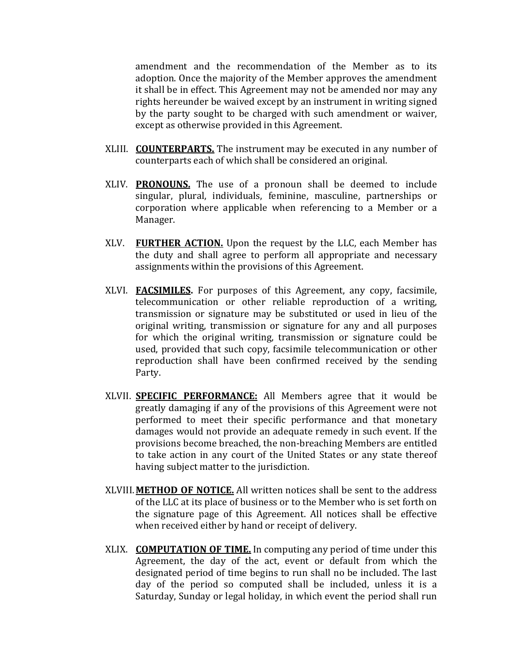amendment and the recommendation of the Member as to its adoption. Once the majority of the Member approves the amendment it shall be in effect. This Agreement may not be amended nor may any rights hereunder be waived except by an instrument in writing signed by the party sought to be charged with such amendment or waiver, except as otherwise provided in this Agreement.

- XLIII. **COUNTERPARTS.** The instrument may be executed in any number of counterparts each of which shall be considered an original.
- XLIV. **PRONOUNS.** The use of a pronoun shall be deemed to include singular, plural, individuals, feminine, masculine, partnerships or corporation where applicable when referencing to a Member or a Manager.
- XLV. **FURTHER ACTION.** Upon the request by the LLC, each Member has the duty and shall agree to perform all appropriate and necessary assignments within the provisions of this Agreement.
- XLVI. **FACSIMILES.** For purposes of this Agreement, any copy, facsimile, telecommunication or other reliable reproduction of a writing, transmission or signature may be substituted or used in lieu of the original writing, transmission or signature for any and all purposes for which the original writing, transmission or signature could be used, provided that such copy, facsimile telecommunication or other reproduction shall have been confirmed received by the sending Party.
- XLVII. **SPECIFIC PERFORMANCE:** All Members agree that it would be greatly damaging if any of the provisions of this Agreement were not performed to meet their specific performance and that monetary damages would not provide an adequate remedy in such event. If the provisions become breached, the non-breaching Members are entitled to take action in any court of the United States or any state thereof having subject matter to the jurisdiction.
- XLVIII. METHOD OF NOTICE. All written notices shall be sent to the address of the LLC at its place of business or to the Member who is set forth on the signature page of this Agreement. All notices shall be effective when received either by hand or receipt of delivery.
- XLIX. **COMPUTATION OF TIME.** In computing any period of time under this Agreement, the day of the act, event or default from which the designated period of time begins to run shall no be included. The last day of the period so computed shall be included, unless it is a Saturday, Sunday or legal holiday, in which event the period shall run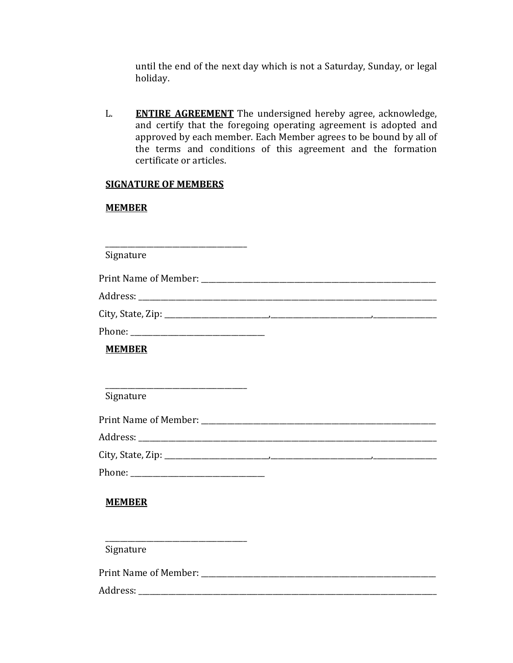until the end of the next day which is not a Saturday, Sunday, or legal holiday.

L. **ENTIRE AGREEMENT** The undersigned hereby agree, acknowledge, and certify that the foregoing operating agreement is adopted and approved by each member. Each Member agrees to be bound by all of the terms and conditions of this agreement and the formation certificate or articles.

### **SIGNATURE OF MEMBERS**

### **MEMBER'**

\_\_\_\_\_\_\_\_\_\_\_\_\_\_\_\_\_\_\_\_\_\_\_\_\_\_\_\_\_\_\_\_\_\_\_\_\_\_ Signature Print!Name!of!Member:!\_\_\_\_\_\_\_\_\_\_\_\_\_\_\_\_\_\_\_\_\_\_\_\_\_\_\_\_\_\_\_\_\_\_\_\_\_\_\_\_\_\_\_\_\_\_\_\_\_\_\_\_\_\_\_\_\_\_\_\_\_\_\_! Address: which is a set of the set of the set of the set of the set of the set of the set of the set of the set of the set of the set of the set of the set of the set of the set of the set of the set of the set of the set City,!State,!Zip:!\_\_\_\_\_\_\_\_\_\_\_\_\_\_\_\_\_\_\_\_\_\_\_\_\_\_\_\_,\_\_\_\_\_\_\_\_\_\_\_\_\_\_\_\_\_\_\_\_\_\_\_\_\_\_\_,\_\_\_\_\_\_\_\_\_\_\_\_\_\_\_\_\_ Phone: \_ **MEMBER'** \_\_\_\_\_\_\_\_\_\_\_\_\_\_\_\_\_\_\_\_\_\_\_\_\_\_\_\_\_\_\_\_\_\_\_\_\_\_ Signature Print Name of Member: Address:!\_\_\_\_\_\_\_\_\_\_\_\_\_\_\_\_\_\_\_\_\_\_\_\_\_\_\_\_\_\_\_\_\_\_\_\_\_\_\_\_\_\_\_\_\_\_\_\_\_\_\_\_\_\_\_\_\_\_\_\_\_\_\_\_\_\_\_\_\_\_\_\_\_\_\_\_\_\_\_\_! City,!State,!Zip:!\_\_\_\_\_\_\_\_\_\_\_\_\_\_\_\_\_\_\_\_\_\_\_\_\_\_\_\_,\_\_\_\_\_\_\_\_\_\_\_\_\_\_\_\_\_\_\_\_\_\_\_\_\_\_\_,\_\_\_\_\_\_\_\_\_\_\_\_\_\_\_\_\_ Phone:!\_\_\_\_\_\_\_\_\_\_\_\_\_\_\_\_\_\_\_\_\_\_\_\_\_\_\_\_\_\_\_\_\_\_\_\_ **MEMBER'**

Signature

Print!Name!of!Member:!\_\_\_\_\_\_\_\_\_\_\_\_\_\_\_\_\_\_\_\_\_\_\_\_\_\_\_\_\_\_\_\_\_\_\_\_\_\_\_\_\_\_\_\_\_\_\_\_\_\_\_\_\_\_\_\_\_\_\_\_\_\_\_!

\_\_\_\_\_\_\_\_\_\_\_\_\_\_\_\_\_\_\_\_\_\_\_\_\_\_\_\_\_\_\_\_\_\_\_\_\_\_

Address: